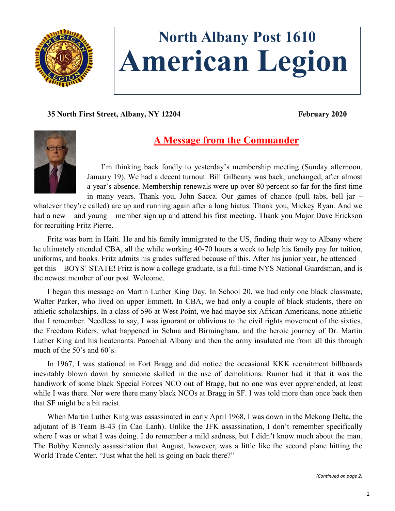

# **North Albany Post 1610 American Legion**

**35 North First Street, Albany, NY 12204 February 2020**



# **A Message from the Commander**

I'm thinking back fondly to yesterday's membership meeting (Sunday afternoon, January 19). We had a decent turnout. Bill Gilheany was back, unchanged, after almost a year's absence. Membership renewals were up over 80 percent so far for the first time in many years. Thank you, John Sacca. Our games of chance (pull tabs, bell jar –

whatever they're called) are up and running again after a long hiatus. Thank you, Mickey Ryan. And we had a new – and young – member sign up and attend his first meeting. Thank you Major Dave Erickson for recruiting Fritz Pierre.

Fritz was born in Haiti. He and his family immigrated to the US, finding their way to Albany where he ultimately attended CBA, all the while working 40-70 hours a week to help his family pay for tuition, uniforms, and books. Fritz admits his grades suffered because of this. After his junior year, he attended – get this – BOYS' STATE! Fritz is now a college graduate, is a full-time NYS National Guardsman, and is the newest member of our post. Welcome.

I began this message on Martin Luther King Day. In School 20, we had only one black classmate, Walter Parker, who lived on upper Emmett. In CBA, we had only a couple of black students, there on athletic scholarships. In a class of 596 at West Point, we had maybe six African Americans, none athletic that I remember. Needless to say, I was ignorant or oblivious to the civil rights movement of the sixties, the Freedom Riders, what happened in Selma and Birmingham, and the heroic journey of Dr. Martin Luther King and his lieutenants. Parochial Albany and then the army insulated me from all this through much of the 50's and 60's.

In 1967, I was stationed in Fort Bragg and did notice the occasional KKK recruitment billboards inevitably blown down by someone skilled in the use of demolitions. Rumor had it that it was the handiwork of some black Special Forces NCO out of Bragg, but no one was ever apprehended, at least while I was there. Nor were there many black NCOs at Bragg in SF. I was told more than once back then that SF might be a bit racist.

When Martin Luther King was assassinated in early April 1968, I was down in the Mekong Delta, the adjutant of B Team B-43 (in Cao Lanh). Unlike the JFK assassination, I don't remember specifically where I was or what I was doing. I do remember a mild sadness, but I didn't know much about the man. The Bobby Kennedy assassination that August, however, was a little like the second plane hitting the World Trade Center. "Just what the hell is going on back there?"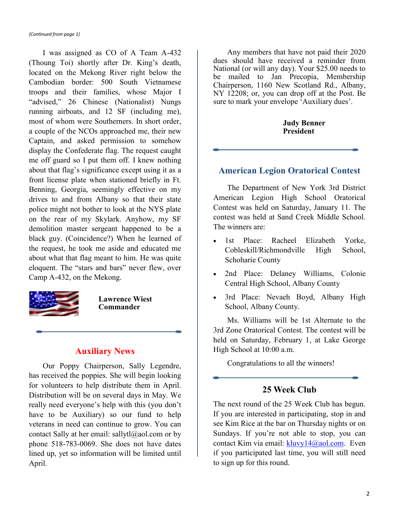I was assigned as CO of A Team A-432 (Thoung Toi) shortly after Dr. King's death, located on the Mekong River right below the Cambodian border: 500 South Vietnamese troops and their families, whose Major I "advised," 26 Chinese (Nationalist) Nungs running airboats, and 12 SF (including me), most of whom were Southerners. In short order, a couple of the NCOs approached me, their new Captain, and asked permission to somehow display the Confederate flag. The request caught me off guard so I put them off. I knew nothing about that flag's significance except using it as a front license plate when stationed briefly in Ft. Benning, Georgia, seemingly effective on my drives to and from Albany so that their state police might not bother to look at the NYS plate on the rear of my Skylark. Anyhow, my SF demolition master sergeant happened to be a black guy. (Coincidence?) When he learned of the request, he took me aside and educated me about what that flag meant to him. He was quite eloquent. The "stars and bars" never flew, over Camp A-432, on the Mekong.



**Lawrence Wiest Commander**

# **Auxiliary News**

Our Poppy Chairperson, Sally Legendre, has received the poppies. She will begin looking for volunteers to help distribute them in April. Distribution will be on several days in May. We really need everyone's help with this (you don't have to be Auxiliary) so our fund to help veterans in need can continue to grow. You can contact Sally at her email: sallyt $l(\partial \alpha)$  com or by phone 518-783-0069. She does not have dates lined up, yet so information will be limited until April.

Any members that have not paid their 2020 dues should have received a reminder from National (or will any day). Your \$25.00 needs to be mailed to Jan Precopia, Membership Chairperson, 1160 New Scotland Rd., Albany, NY 12208; or, you can drop off at the Post. Be sure to mark your envelope 'Auxiliary dues'.

#### **Judy Benner President**

#### **American Legion Oratorical Contest**

The Department of New York 3rd District American Legion High School Oratorical Contest was held on Saturday, January 11. The contest was held at Sand Creek Middle School. The winners are:

- 1st Place: Racheel Elizabeth Yorke, Cobleskill/Richmondville High School, Schoharie County
- 2nd Place: Delaney Williams, Colonie Central High School, Albany County
- 3rd Place: Nevaeh Boyd, Albany High School, Albany County.

Ms. Williams will be 1st Alternate to the 3rd Zone Oratorical Contest. The contest will be held on Saturday, February 1, at Lake George High School at 10:00 a.m.

Congratulations to all the winners!

## **25 Week Club**

The next round of the 25 Week Club has begun. If you are interested in participating, stop in and see Kim Rice at the bar on Thursday nights or on Sundays. If you're not able to stop, you can contact Kim via email:  $k$ luvy14@aol.com. Even if you participated last time, you will still need to sign up for this round.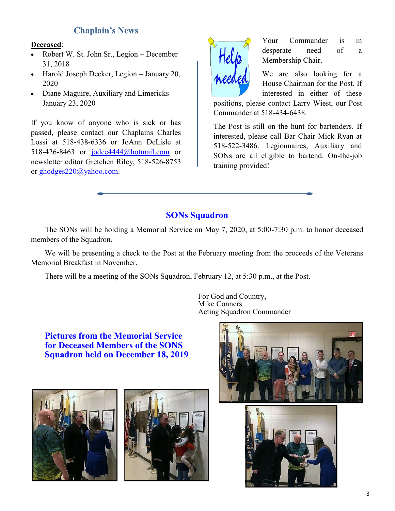# **Chaplain's News**

### **Deceased**:

- Robert W. St. John Sr., Legion December 31, 2018
- Harold Joseph Decker, Legion January 20, 2020
- Diane Maguire, Auxiliary and Limericks January 23, 2020

If you know of anyone who is sick or has passed, please contact our Chaplains Charles Lossi at 518-438-6336 or JoAnn DeLisle at 518-426-8463 or [jodee4444@hotmail.com](mailto:jodee4444@hotmail.com) or newsletter editor Gretchen Riley, 518-526-8753 or [ghodges220@yahoo.com.](mailto:ghodges220@yahoo.com)



Your Commander is in desperate need of a Membership Chair.

We are also looking for a House Chairman for the Post. If interested in either of these

positions, please contact Larry Wiest, our Post Commander at 518-434-6438.

The Post is still on the hunt for bartenders. If interested, please call Bar Chair Mick Ryan at 518-522-3486. Legionnaires, Auxiliary and SONs are all eligible to bartend. On-the-job training provided!

# **SONs Squadron**

The SONs will be holding a Memorial Service on May 7, 2020, at 5:00-7:30 p.m. to honor deceased members of the Squadron.

We will be presenting a check to the Post at the February meeting from the proceeds of the Veterans Memorial Breakfast in November.

There will be a meeting of the SONs Squadron, February 12, at 5:30 p.m., at the Post.

For God and Country, Mike Conners Acting Squadron Commander

**Pictures from the Memorial Service for Deceased Members of the SONS Squadron held on December 18, 2019**